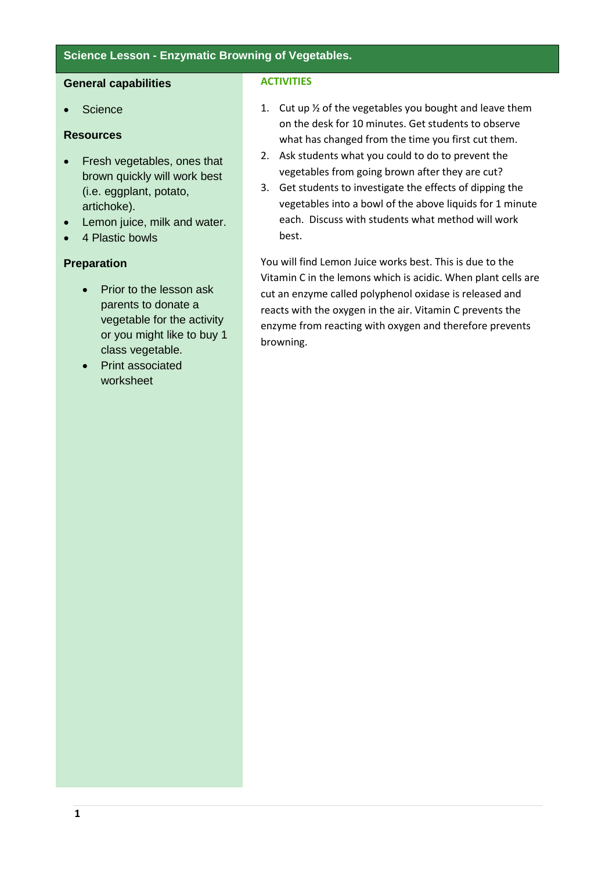### **Science Lesson - Enzymatic Browning of Vegetables.**

#### **General capabilities**

**Science** 

## **Resources**

- Fresh vegetables, ones that brown quickly will work best (i.e. eggplant, potato, artichoke).
- Lemon juice, milk and water.
- 4 Plastic bowls

### **Preparation**

- Prior to the lesson ask parents to donate a vegetable for the activity or you might like to buy 1 class vegetable.
- Print associated worksheet

#### **ACTIVITIES**

- 1. Cut up ½ of the vegetables you bought and leave them on the desk for 10 minutes. Get students to observe what has changed from the time you first cut them.
- 2. Ask students what you could to do to prevent the vegetables from going brown after they are cut?
- 3. Get students to investigate the effects of dipping the vegetables into a bowl of the above liquids for 1 minute each. Discuss with students what method will work best.

You will find Lemon Juice works best. This is due to the Vitamin C in the lemons which is acidic. When plant cells are cut an enzyme called polyphenol oxidase is released and reacts with the oxygen in the air. Vitamin C prevents the enzyme from reacting with oxygen and therefore prevents browning.